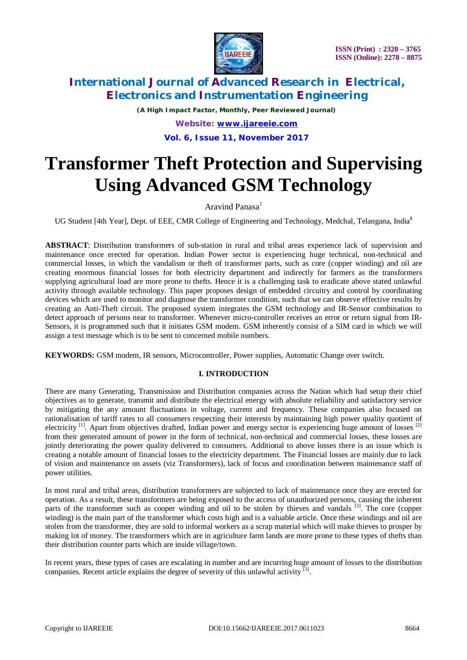

*(A High Impact Factor, Monthly, Peer Reviewed Journal) Website: [www.ijareeie.com](http://www.ijareeie.com)* **Vol. 6, Issue 11, November 2017**

# **Transformer Theft Protection and Supervising Using Advanced GSM Technology**

Aravind Panasa<sup>1</sup>

UG Student [4th Year], Dept. of EEE, CMR College of Engineering and Technology, Medchal, Telangana, India**<sup>1</sup>**

**ABSTRACT**: Distribution transformers of sub-station in rural and tribal areas experience lack of supervision and maintenance once erected for operation. Indian Power sector is experiencing huge technical, non-technical and commercial losses, in which the vandalism or theft of transformer parts, such as core (copper winding) and oil are creating enormous financial losses for both electricity department and indirectly for farmers as the transformers supplying agricultural load are more prone to thefts. Hence it is a challenging task to eradicate above stated unlawful activity through available technology. This paper proposes design of embedded circuitry and control by coordinating devices which are used to monitor and diagnose the transformer condition, such that we can observe effective results by creating an Anti-Theft circuit. The proposed system integrates the GSM technology and IR-Sensor combination to detect approach of persons near to transformer. Whenever micro-controller receives an error or return signal from IR-Sensors, it is programmed such that it initiates GSM modem. GSM inherently consist of a SIM card in which we will assign a text message which is to be sent to concerned mobile numbers.

**KEYWORDS:** GSM modem, IR sensors, Microcontroller, Power supplies, Automatic Change over switch.

### **I. INTRODUCTION**

There are many Generating, Transmission and Distribution companies across the Nation which had setup their chief objectives as to generate, transmit and distribute the electrical energy with absolute reliability and satisfactory service by mitigating the any amount fluctuations in voltage, current and frequency. These companies also focused on rationalisation of tariff rates to all consumers respecting their interests by maintaining high power quality quotient of electricity <sup>[1]</sup>. Apart from objectives drafted, Indian power and energy sector is experiencing huge amount of losses <sup>[2]</sup> from their generated amount of power in the form of technical, non-technical and commercial losses, these losses are jointly deteriorating the power quality delivered to consumers. Additional to above losses there is an issue which is creating a notable amount of financial losses to the electricity department. The Financial losses are mainly due to lack of vision and maintenance on assets (viz Transformers), lack of focus and coordination between maintenance staff of power utilities.

In most rural and tribal areas, distribution transformers are subjected to lack of maintenance once they are erected for operation. As a result, these transformers are being exposed to the access of unauthorized persons, causing the inherent parts of the transformer such as cooper winding and oil to be stolen by thieves and vandals <sup>[3]</sup>. The core (copper winding) is the main part of the transformer which costs high and is a valuable article. Once these windings and oil are stolen from the transformer, they are sold to informal workers as a scrap material which will make thieves to prosper by making lot of money. The transformers which are in agriculture farm lands are more prone to these types of thefts than their distribution counter parts which are inside village/town.

In recent years, these types of cases are escalating in number and are incurring huge amount of losses to the distribution companies. Recent article explains the degree of severity of this unlawful activity  $^{[3]}$ .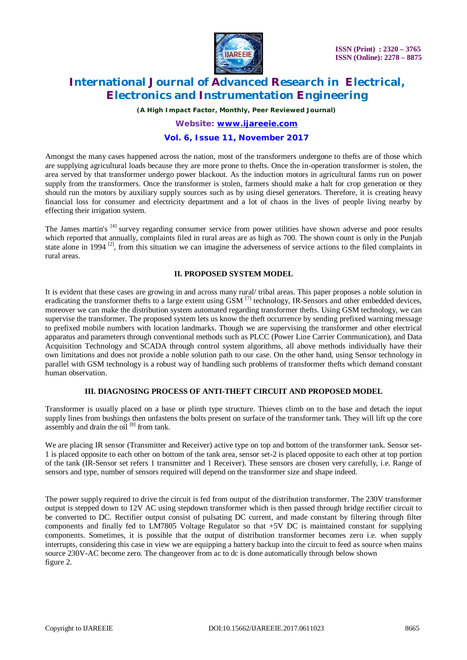

*(A High Impact Factor, Monthly, Peer Reviewed Journal)*

# *Website: [www.ijareeie.com](http://www.ijareeie.com)*

### **Vol. 6, Issue 11, November 2017**

Amongst the many cases happened across the nation, most of the transformers undergone to thefts are of those which are supplying agricultural loads because they are more prone to thefts. Once the in-operation transformer is stolen, the area served by that transformer undergo power blackout. As the induction motors in agricultural farms run on power supply from the transformers. Once the transformer is stolen, farmers should make a halt for crop generation or they should run the motors by auxiliary supply sources such as by using diesel generators. Therefore, it is creating heavy financial loss for consumer and electricity department and a lot of chaos in the lives of people living nearby by effecting their irrigation system.

The James martin's <sup>[4]</sup> survey regarding consumer service from power utilities have shown adverse and poor results which reported that annually, complaints filed in rural areas are as high as 700. The shown count is only in the Punjab state alone in 1994<sup>[2]</sup>, from this situation we can imagine the adverseness of service actions to the filed complaints in rural areas.

#### **II. PROPOSED SYSTEM MODEL**

It is evident that these cases are growing in and across many rural/ tribal areas. This paper proposes a noble solution in eradicating the transformer thefts to a large extent using GSM <sup>[7]</sup> technology, IR-Sensors and other embedded devices, moreover we can make the distribution system automated regarding transformer thefts. Using GSM technology, we can supervise the transformer. The proposed system lets us know the theft occurrence by sending prefixed warning message to prefixed mobile numbers with location landmarks. Though we are supervising the transformer and other electrical apparatus and parameters through conventional methods such as PLCC (Power Line Carrier Communication), and Data Acquisition Technology and SCADA through control system algorithms, all above methods individually have their own limitations and does not provide a noble solution path to our case. On the other hand, using Sensor technology in parallel with GSM technology is a robust way of handling such problems of transformer thefts which demand constant human observation.

#### **III. DIAGNOSING PROCESS OF ANTI-THEFT CIRCUIT AND PROPOSED MODEL**

Transformer is usually placed on a base or plinth type structure. Thieves climb on to the base and detach the input supply lines from bushings then unfastens the bolts present on surface of the transformer tank. They will lift up the core assembly and drain the oil  $[8]$  from tank.

We are placing IR sensor (Transmitter and Receiver) active type on top and bottom of the transformer tank. Sensor set-1 is placed opposite to each other on bottom of the tank area, sensor set-2 is placed opposite to each other at top portion of the tank (IR-Sensor set refers 1 transmitter and 1 Receiver). These sensors are chosen very carefully, i.e. Range of sensors and type, number of sensors required will depend on the transformer size and shape indeed.

The power supply required to drive the circuit is fed from output of the distribution transformer. The 230V transformer output is stepped down to 12V AC using stepdown transformer which is then passed through bridge rectifier circuit to be converted to DC. Rectifier output consist of pulsating DC current, and made constant by filtering through filter components and finally fed to LM7805 Voltage Regulator so that +5V DC is maintained constant for supplying components. Sometimes, it is possible that the output of distribution transformer becomes zero i.e. when supply interrupts, considering this case in view we are equipping a battery backup into the circuit to feed as source when mains source 230V-AC become zero. The changeover from ac to dc is done automatically through below shown figure 2.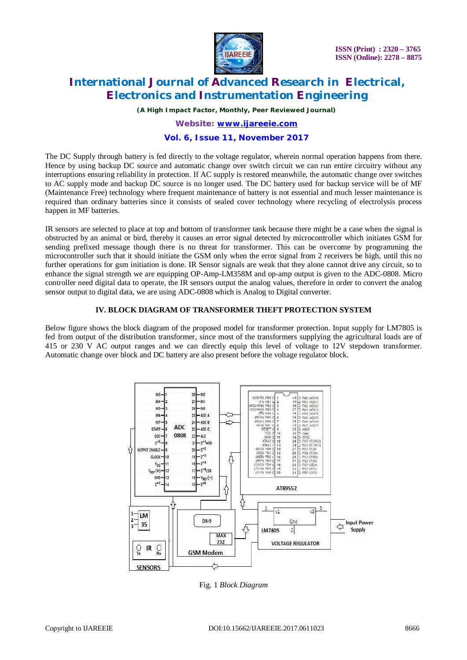

*(A High Impact Factor, Monthly, Peer Reviewed Journal)*

### *Website: [www.ijareeie.com](http://www.ijareeie.com)*

### **Vol. 6, Issue 11, November 2017**

The DC Supply through battery is fed directly to the voltage regulator, wherein normal operation happens from there. Hence by using backup DC source and automatic change over switch circuit we can run entire circuitry without any interruptions ensuring reliability in protection. If AC supply is restored meanwhile, the automatic change over switches to AC supply mode and backup DC source is no longer used. The DC battery used for backup service will be of MF (Maintenance Free) technology where frequent maintenance of battery is not essential and much lesser maintenance is required than ordinary batteries since it consists of sealed cover technology where recycling of electrolysis process happen in MF batteries.

IR sensors are selected to place at top and bottom of transformer tank because there might be a case when the signal is obstructed by an animal or bird, thereby it causes an error signal detected by microcontroller which initiates GSM for sending prefixed message though there is no threat for transformer. This can be overcome by programming the microcontroller such that it should initiate the GSM only when the error signal from 2 receivers be high, until this no further operations for gsm initiation is done. IR Sensor signals are weak that they alone cannot drive any circuit, so to enhance the signal strength we are equipping OP-Amp-LM358M and op-amp output is given to the ADC-0808. Micro controller need digital data to operate, the IR sensors output the analog values, therefore in order to convert the analog sensor output to digital data, we are using ADC-0808 which is Analog to Digital converter.

### **IV. BLOCK DIAGRAM OF TRANSFORMER THEFT PROTECTION SYSTEM**

Below figure shows the block diagram of the proposed model for transformer protection. Input supply for LM7805 is fed from output of the distribution transformer, since most of the transformers supplying the agricultural loads are of 415 or 230 V AC output ranges and we can directly equip this level of voltage to 12V stepdown transformer. Automatic change over block and DC battery are also present before the voltage regulator block.



Fig. 1 *Block Diagram*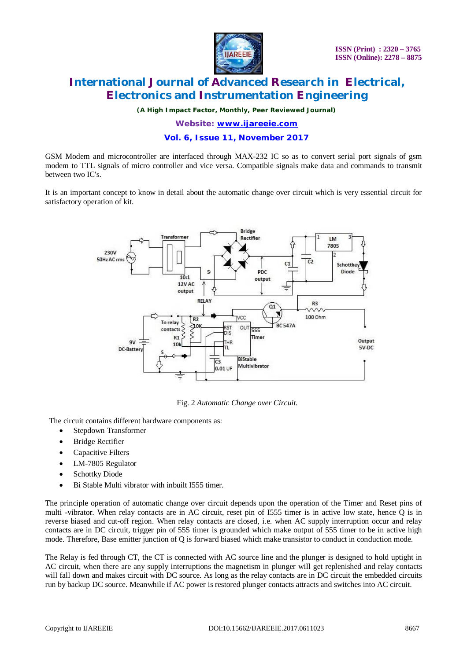

*(A High Impact Factor, Monthly, Peer Reviewed Journal)*

*Website: [www.ijareeie.com](http://www.ijareeie.com)*

### **Vol. 6, Issue 11, November 2017**

GSM Modem and microcontroller are interfaced through MAX-232 IC so as to convert serial port signals of gsm modem to TTL signals of micro controller and vice versa. Compatible signals make data and commands to transmit between two IC's.

It is an important concept to know in detail about the automatic change over circuit which is very essential circuit for satisfactory operation of kit.



Fig. 2 *Automatic Change over Circuit.*

The circuit contains different hardware components as:

- Stepdown Transformer
- Bridge Rectifier
- Capacitive Filters
- LM-7805 Regulator
- Schottky Diode
- Bi Stable Multi vibrator with inbuilt I555 timer.

The principle operation of automatic change over circuit depends upon the operation of the Timer and Reset pins of multi -vibrator. When relay contacts are in AC circuit, reset pin of I555 timer is in active low state, hence Q is in reverse biased and cut-off region. When relay contacts are closed, i.e. when AC supply interruption occur and relay contacts are in DC circuit, trigger pin of 555 timer is grounded which make output of 555 timer to be in active high mode. Therefore, Base emitter junction of Q is forward biased which make transistor to conduct in conduction mode.

The Relay is fed through CT, the CT is connected with AC source line and the plunger is designed to hold uptight in AC circuit, when there are any supply interruptions the magnetism in plunger will get replenished and relay contacts will fall down and makes circuit with DC source. As long as the relay contacts are in DC circuit the embedded circuits run by backup DC source. Meanwhile if AC power is restored plunger contacts attracts and switches into AC circuit.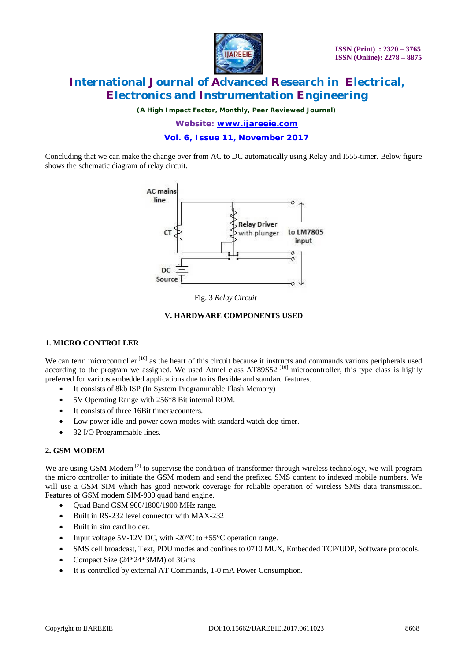

*(A High Impact Factor, Monthly, Peer Reviewed Journal)*

*Website: [www.ijareeie.com](http://www.ijareeie.com)*

**Vol. 6, Issue 11, November 2017**

Concluding that we can make the change over from AC to DC automatically using Relay and I555-timer. Below figure shows the schematic diagram of relay circuit.



Fig. 3 *Relay Circuit*

### **V. HARDWARE COMPONENTS USED**

#### **1. MICRO CONTROLLER**

We can term microcontroller <sup>[10]</sup> as the heart of this circuit because it instructs and commands various peripherals used according to the program we assigned. We used Atmel class AT89S52<sup>[10]</sup> microcontroller, this type class is highly preferred for various embedded applications due to its flexible and standard features.

- It consists of 8kb ISP (In System Programmable Flash Memory)
- 5V Operating Range with 256\*8 Bit internal ROM.
- It consists of three 16Bit timers/counters.
- Low power idle and power down modes with standard watch dog timer.
- 32 I/O Programmable lines.

### **2. GSM MODEM**

We are using GSM Modem  $^{[7]}$  to supervise the condition of transformer through wireless technology, we will program the micro controller to initiate the GSM modem and send the prefixed SMS content to indexed mobile numbers. We will use a GSM SIM which has good network coverage for reliable operation of wireless SMS data transmission. Features of GSM modem SIM-900 quad band engine.

- Quad Band GSM 900/1800/1900 MHz range.
- Built in RS-232 level connector with MAX-232
- Built in sim card holder.
- Input voltage 5V-12V DC, with -20 $^{\circ}$ C to +55 $^{\circ}$ C operation range.
- SMS cell broadcast, Text, PDU modes and confines to 0710 MUX, Embedded TCP/UDP, Software protocols.
- Compact Size (24\*24\*3MM) of 3Gms.
- It is controlled by external AT Commands, 1-0 mA Power Consumption.